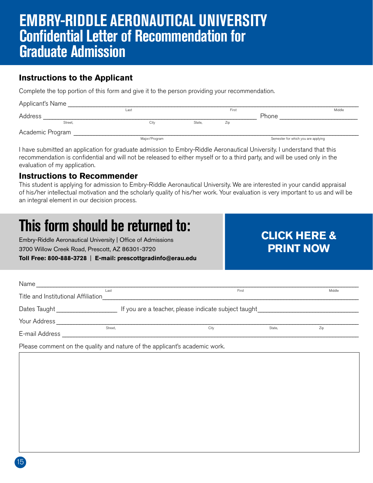## **EMBRY-RIDDLE AERONAUTICAL UNIVERSITY Confidential Letter of Recommendation for Graduate Admission**

### **Instructions to the Applicant**

Complete the top portion of this form and give it to the person providing your recommendation.

| Applicant's Name |  |               |        |       |                                     |        |  |  |  |  |  |
|------------------|--|---------------|--------|-------|-------------------------------------|--------|--|--|--|--|--|
|                  |  | Last          |        | First |                                     | Middle |  |  |  |  |  |
| Address          |  |               |        |       | Phone                               |        |  |  |  |  |  |
| Street,          |  | City          | State, | Zip   |                                     |        |  |  |  |  |  |
| Academic Program |  |               |        |       |                                     |        |  |  |  |  |  |
|                  |  | Major/Program |        |       | Semester for which you are applying |        |  |  |  |  |  |

I have submitted an application for graduate admission to Embry-Riddle Aeronautical University. I understand that this recommendation is confidential and will not be released to either myself or to a third party, and will be used only in the evaluation of my application.

### **Instructions to Recommender**

This student is applying for admission to Embry-Riddle Aeronautical University. We are interested in your candid appraisal of his/her intellectual motivation and the scholarly quality of his/her work. Your evaluation is very important to us and will be an integral element in our decision process.

# **This form should be returned to:**

Embry-Riddle Aeronautical University | Office of Admissions 3700 Willow Creek Road, Prescott, AZ 86301-3720

### **Toll Free: 800-888-3728** | **E-mail: prescottgradinfo@erau.edu**

### Name \_\_\_\_\_\_\_\_\_\_\_\_\_\_\_\_\_\_\_\_\_\_\_\_\_\_\_\_\_\_\_\_\_\_\_\_\_\_\_\_\_\_\_\_\_\_\_\_\_\_\_\_\_\_\_\_\_\_\_\_\_\_\_\_\_\_\_\_\_\_\_\_\_\_\_\_\_\_\_\_\_\_\_\_\_\_\_\_\_\_\_\_\_\_\_\_\_\_\_\_\_\_\_\_\_\_\_\_\_\_\_\_ Title and Institutional Affiliation Dates Taught **Example 20** If you are a teacher, please indicate subject taught Your Address \_\_\_\_\_\_\_\_\_\_\_\_\_\_\_\_\_\_\_\_\_\_\_\_\_\_\_\_\_\_\_\_\_\_\_\_\_\_\_\_\_\_\_\_\_\_\_\_\_\_\_\_\_\_\_\_\_\_\_\_\_\_\_\_\_\_\_\_\_\_\_\_\_\_\_\_\_\_\_\_\_\_\_\_\_\_\_\_\_\_\_\_\_\_\_\_\_\_\_\_\_\_\_\_\_ E-mail Address \_\_\_\_\_\_\_\_\_\_\_\_\_\_\_\_\_\_\_\_\_\_\_\_\_\_\_\_\_\_\_\_\_\_\_\_\_\_\_\_\_\_\_\_\_\_\_\_\_\_\_\_\_\_\_\_\_\_\_\_\_\_\_\_\_\_\_\_\_\_\_\_\_\_\_\_\_\_\_\_\_\_\_\_\_\_\_\_\_\_\_\_\_\_\_\_\_\_\_\_\_\_\_ Last First Middle Street, 2ip State, 2ip State, 2ip State, 2ip State, 2ip State, 2ip State, 2ip State, 2ip State, 2ip State, 2ip

**CLICK HERE &**

**PRINT NOW**

Please comment on the quality and nature of the applicant's academic work.